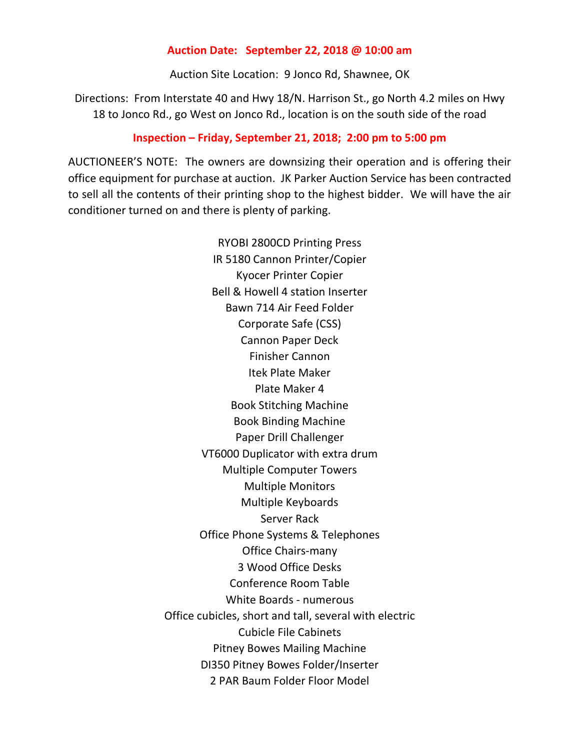## **Auction Date: September 22, 2018 @ 10:00 am**

Auction Site Location: 9 Jonco Rd, Shawnee, OK

Directions: From Interstate 40 and Hwy 18/N. Harrison St., go North 4.2 miles on Hwy 18 to Jonco Rd., go West on Jonco Rd., location is on the south side of the road

## **Inspection – Friday, September 21, 2018; 2:00 pm to 5:00 pm**

AUCTIONEER'S NOTE: The owners are downsizing their operation and is offering their office equipment for purchase at auction. JK Parker Auction Service has been contracted to sell all the contents of their printing shop to the highest bidder. We will have the air conditioner turned on and there is plenty of parking.

> RYOBI 2800CD Printing Press IR 5180 Cannon Printer/Copier Kyocer Printer Copier Bell & Howell 4 station Inserter Bawn 714 Air Feed Folder Corporate Safe (CSS) Cannon Paper Deck Finisher Cannon Itek Plate Maker Plate Maker 4 Book Stitching Machine Book Binding Machine Paper Drill Challenger VT6000 Duplicator with extra drum Multiple Computer Towers Multiple Monitors Multiple Keyboards Server Rack Office Phone Systems & Telephones Office Chairs-many 3 Wood Office Desks Conference Room Table White Boards - numerous Office cubicles, short and tall, several with electric Cubicle File Cabinets Pitney Bowes Mailing Machine DI350 Pitney Bowes Folder/Inserter 2 PAR Baum Folder Floor Model